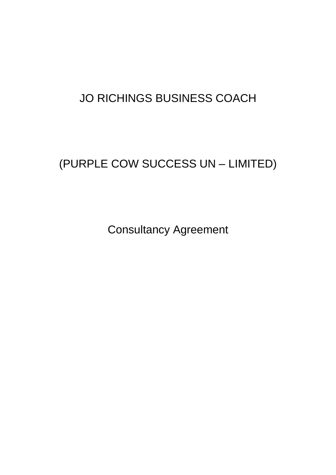## JO RICHINGS BUSINESS COACH

# (PURPLE COW SUCCESS UN – LIMITED)

Consultancy Agreement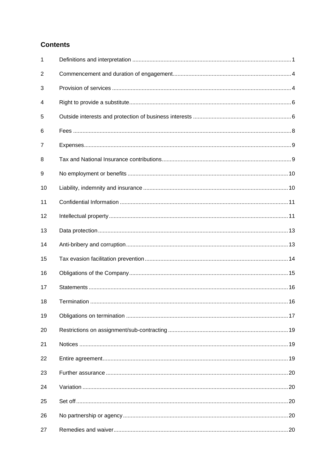### **Contents**

| 1  |  |
|----|--|
| 2  |  |
| 3  |  |
| 4  |  |
| 5  |  |
| 6  |  |
| 7  |  |
| 8  |  |
| 9  |  |
| 10 |  |
| 11 |  |
| 12 |  |
| 13 |  |
| 14 |  |
| 15 |  |
| 16 |  |
| 17 |  |
| 18 |  |
| 19 |  |
| 20 |  |
| 21 |  |
| 22 |  |
| 23 |  |
| 24 |  |
| 25 |  |
| 26 |  |
| 27 |  |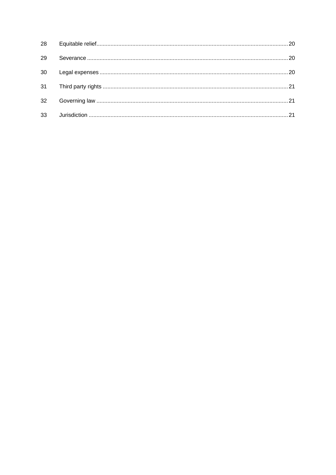| 29              |  |
|-----------------|--|
| 30              |  |
|                 |  |
| 32 <sup>°</sup> |  |
| 33              |  |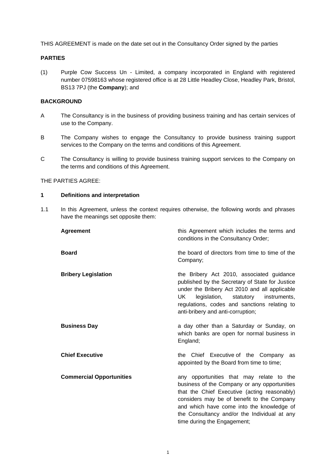THIS AGREEMENT is made on the date set out in the Consultancy Order signed by the parties

#### **PARTIES**

(1) Purple Cow Success Un - Limited, a company incorporated in England with registered number 07598163 whose registered office is at 28 Little Headley Close, Headley Park, Bristol, BS13 7PJ (the **Company**); and

#### **BACKGROUND**

- A The Consultancy is in the business of providing business training and has certain services of use to the Company.
- B The Company wishes to engage the Consultancy to provide business training support services to the Company on the terms and conditions of this Agreement.
- C The Consultancy is willing to provide business training support services to the Company on the terms and conditions of this Agreement.

THE PARTIES AGREE:

#### <span id="page-3-0"></span>**1 Definitions and interpretation**

1.1 In this Agreement, unless the context requires otherwise, the following words and phrases have the meanings set opposite them:

| <b>Agreement</b>                | this Agreement which includes the terms and<br>conditions in the Consultancy Order;                                                                                                                                                                                                                                |
|---------------------------------|--------------------------------------------------------------------------------------------------------------------------------------------------------------------------------------------------------------------------------------------------------------------------------------------------------------------|
| <b>Board</b>                    | the board of directors from time to time of the<br>Company;                                                                                                                                                                                                                                                        |
| <b>Bribery Legislation</b>      | the Bribery Act 2010, associated guidance<br>published by the Secretary of State for Justice<br>under the Bribery Act 2010 and all applicable<br>UK -<br>legislation,<br>statutory<br>instruments,<br>regulations, codes and sanctions relating to<br>anti-bribery and anti-corruption;                            |
| <b>Business Day</b>             | a day other than a Saturday or Sunday, on<br>which banks are open for normal business in<br>England;                                                                                                                                                                                                               |
| <b>Chief Executive</b>          | the Chief Executive of the Company as<br>appointed by the Board from time to time;                                                                                                                                                                                                                                 |
| <b>Commercial Opportunities</b> | any opportunities that may relate to the<br>business of the Company or any opportunities<br>that the Chief Executive (acting reasonably)<br>considers may be of benefit to the Company<br>and which have come into the knowledge of<br>the Consultancy and/or the Individual at any<br>time during the Engagement; |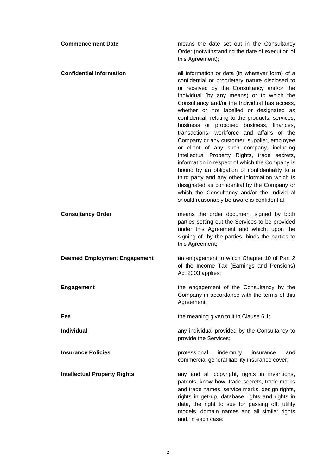| <b>Commencement Date</b>            | means the date set out in the Consultancy<br>Order (notwithstanding the date of execution of<br>this Agreement);                                                                                                                                                                                                                                                                                                                                                                                                                                                                                                                                                                                                                                                                                                                                                                        |
|-------------------------------------|-----------------------------------------------------------------------------------------------------------------------------------------------------------------------------------------------------------------------------------------------------------------------------------------------------------------------------------------------------------------------------------------------------------------------------------------------------------------------------------------------------------------------------------------------------------------------------------------------------------------------------------------------------------------------------------------------------------------------------------------------------------------------------------------------------------------------------------------------------------------------------------------|
| <b>Confidential Information</b>     | all information or data (in whatever form) of a<br>confidential or proprietary nature disclosed to<br>or received by the Consultancy and/or the<br>Individual (by any means) or to which the<br>Consultancy and/or the Individual has access,<br>whether or not labelled or designated as<br>confidential, relating to the products, services,<br>business or proposed business, finances,<br>transactions, workforce and affairs of the<br>Company or any customer, supplier, employee<br>or client of any such company, including<br>Intellectual Property Rights, trade secrets,<br>information in respect of which the Company is<br>bound by an obligation of confidentiality to a<br>third party and any other information which is<br>designated as confidential by the Company or<br>which the Consultancy and/or the Individual<br>should reasonably be aware is confidential; |
| <b>Consultancy Order</b>            | means the order document signed by both<br>parties setting out the Services to be provided<br>under this Agreement and which, upon the<br>signing of by the parties, binds the parties to<br>this Agreement;                                                                                                                                                                                                                                                                                                                                                                                                                                                                                                                                                                                                                                                                            |
| <b>Deemed Employment Engagement</b> | an engagement to which Chapter 10 of Part 2<br>of the Income Tax (Earnings and Pensions)<br>Act 2003 applies;                                                                                                                                                                                                                                                                                                                                                                                                                                                                                                                                                                                                                                                                                                                                                                           |
| <b>Engagement</b>                   | the engagement of the Consultancy by the<br>Company in accordance with the terms of this<br>Agreement;                                                                                                                                                                                                                                                                                                                                                                                                                                                                                                                                                                                                                                                                                                                                                                                  |
| Fee                                 | the meaning given to it in Clause 6.1;                                                                                                                                                                                                                                                                                                                                                                                                                                                                                                                                                                                                                                                                                                                                                                                                                                                  |
| <b>Individual</b>                   | any individual provided by the Consultancy to<br>provide the Services;                                                                                                                                                                                                                                                                                                                                                                                                                                                                                                                                                                                                                                                                                                                                                                                                                  |
| <b>Insurance Policies</b>           | professional<br>indemnity<br>insurance<br>and<br>commercial general liability insurance cover;                                                                                                                                                                                                                                                                                                                                                                                                                                                                                                                                                                                                                                                                                                                                                                                          |
| <b>Intellectual Property Rights</b> | any and all copyright, rights in inventions,<br>patents, know-how, trade secrets, trade marks<br>and trade names, service marks, design rights,<br>rights in get-up, database rights and rights in<br>data, the right to sue for passing off, utility<br>models, domain names and all similar rights<br>and, in each case:                                                                                                                                                                                                                                                                                                                                                                                                                                                                                                                                                              |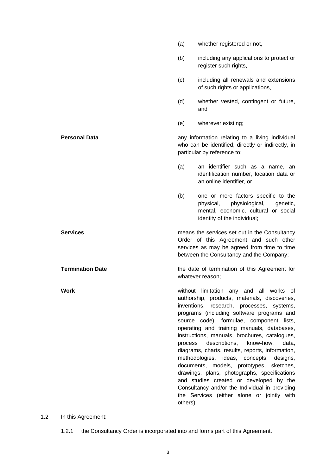(b) including any applications to protect or register such rights, (c) including all renewals and extensions of such rights or applications, (d) whether vested, contingent or future, and (e) wherever existing; **Personal Data and Construction interval any information relating to a living individual** who can be identified, directly or indirectly, in particular by reference to: (a) an identifier such as a name, an identification number, location data or an online identifier, or (b) one or more factors specific to the physical, physiological, genetic, mental, economic, cultural or social identity of the individual; **Services Services neans** the services set out in the Consultancy Order of this Agreement and such other services as may be agreed from time to time between the Consultancy and the Company; **Termination Date** the date of termination of this Agreement for whatever reason; **Work** without limitation any and all works of authorship, products, materials, discoveries, inventions, research, processes, systems, programs (including software programs and source code), formulae, component lists, operating and training manuals, databases, instructions, manuals, brochures, catalogues, process descriptions, know-how, data, diagrams, charts, results, reports, information, methodologies, ideas, concepts, designs, documents, models, prototypes, sketches, drawings, plans, photographs, specifications and studies created or developed by the Consultancy and/or the Individual in providing the Services (either alone or jointly with others).

(a) whether registered or not,

1.2 In this Agreement:

1.2.1 the Consultancy Order is incorporated into and forms part of this Agreement.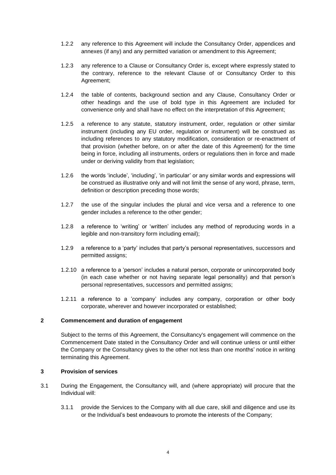- 1.2.2 any reference to this Agreement will include the Consultancy Order, appendices and annexes (if any) and any permitted variation or amendment to this Agreement;
- 1.2.3 any reference to a Clause or Consultancy Order is, except where expressly stated to the contrary, reference to the relevant Clause of or Consultancy Order to this Agreement;
- 1.2.4 the table of contents, background section and any Clause, Consultancy Order or other headings and the use of bold type in this Agreement are included for convenience only and shall have no effect on the interpretation of this Agreement;
- 1.2.5 a reference to any statute, statutory instrument, order, regulation or other similar instrument (including any EU order, regulation or instrument) will be construed as including references to any statutory modification, consideration or re-enactment of that provision (whether before, on or after the date of this Agreement) for the time being in force, including all instruments, orders or regulations then in force and made under or deriving validity from that legislation;
- 1.2.6 the words 'include', 'including', 'in particular' or any similar words and expressions will be construed as illustrative only and will not limit the sense of any word, phrase, term, definition or description preceding those words;
- 1.2.7 the use of the singular includes the plural and vice versa and a reference to one gender includes a reference to the other gender;
- 1.2.8 a reference to 'writing' or 'written' includes any method of reproducing words in a legible and non-transitory form including email);
- 1.2.9 a reference to a 'party' includes that party's personal representatives, successors and permitted assigns;
- 1.2.10 a reference to a 'person' includes a natural person, corporate or unincorporated body (in each case whether or not having separate legal personality) and that person's personal representatives, successors and permitted assigns;
- 1.2.11 a reference to a 'company' includes any company, corporation or other body corporate, wherever and however incorporated or established;

#### <span id="page-6-0"></span>**2 Commencement and duration of engagement**

<span id="page-6-4"></span><span id="page-6-3"></span>Subject to the terms of this Agreement, the Consultancy's engagement will commence on the Commencement Date stated in the Consultancy Order and will continue unless or until either the Company or the Consultancy gives to the other not less than one months' notice in writing terminating this Agreement.

#### <span id="page-6-1"></span>**3 Provision of services**

- <span id="page-6-2"></span>3.1 During the Engagement, the Consultancy will, and (where appropriate) will procure that the Individual will:
	- 3.1.1 provide the Services to the Company with all due care, skill and diligence and use its or the Individual's best endeavours to promote the interests of the Company;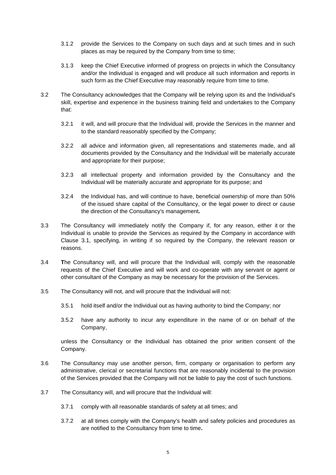- 3.1.2 provide the Services to the Company on such days and at such times and in such places as may be required by the Company from time to time;
- 3.1.3 keep the Chief Executive informed of progress on projects in which the Consultancy and/or the Individual is engaged and will produce all such information and reports in such form as the Chief Executive may reasonably require from time to time.
- <span id="page-7-0"></span>3.2 The Consultancy acknowledges that the Company will be relying upon its and the Individual's skill, expertise and experience in the business training field and undertakes to the Company that:
	- 3.2.1 it will, and will procure that the Individual will, provide the Services in the manner and to the standard reasonably specified by the Company;
	- 3.2.2 all advice and information given, all representations and statements made, and all documents provided by the Consultancy and the Individual will be materially accurate and appropriate for their purpose;
	- 3.2.3 all intellectual property and information provided by the Consultancy and the Individual will be materially accurate and appropriate for its purpose; and
	- 3.2.4 the Individual has, and will continue to have, beneficial ownership of more than 50% of the issued share capital of the Consultancy, or the legal power to direct or cause the direction of the Consultancy's management**.**
- 3.3 The Consultancy will immediately notify the Company if, for any reason, either it or the Individual is unable to provide the Services as required by the Company in accordance with Clause [3.1,](#page-6-2) specifying, in writing if so required by the Company, the relevant reason or reasons.
- 3.4 **T**he Consultancy will, and will procure that the Individual will, comply with the reasonable requests of the Chief Executive and will work and co-operate with any servant or agent or other consultant of the Company as may be necessary for the provision of the Services.
- 3.5 The Consultancy will not, and will procure that the Individual will not:
	- 3.5.1 hold itself and/or the Individual out as having authority to bind the Company; nor
	- 3.5.2 have any authority to incur any expenditure in the name of or on behalf of the Company,

unless the Consultancy or the Individual has obtained the prior written consent of the Company.

- 3.6 The Consultancy may use another person, firm, company or organisation to perform any administrative, clerical or secretarial functions that are reasonably incidental to the provision of the Services provided that the Company will not be liable to pay the cost of such functions.
- 3.7 The Consultancy will, and will procure that the Individual will:
	- 3.7.1 comply with all reasonable standards of safety at all times; and
	- 3.7.2 at all times comply with the Company's health and safety policies and procedures as are notified to the Consultancy from time to time**.**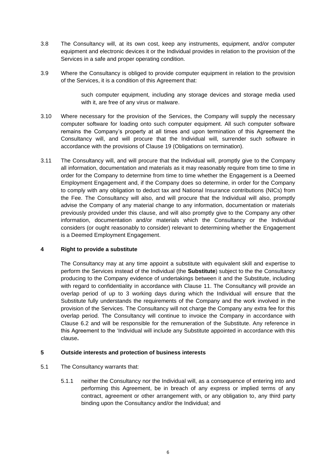- 3.8 The Consultancy will, at its own cost, keep any instruments, equipment, and/or computer equipment and electronic devices it or the Individual provides in relation to the provision of the Services in a safe and proper operating condition.
- 3.9 Where the Consultancy is obliged to provide computer equipment in relation to the provision of the Services, it is a condition of this Agreement that:

such computer equipment, including any storage devices and storage media used with it, are free of any virus or malware.

- 3.10 Where necessary for the provision of the Services, the Company will supply the necessary computer software for loading onto such computer equipment. All such computer software remains the Company's property at all times and upon termination of this Agreement the Consultancy will, and will procure that the Individual will, surrender such software in accordance with the provisions of Clause [19](#page-19-1) (Obligations on termination).
- 3.11 The Consultancy will, and will procure that the Individual will, promptly give to the Company all information, documentation and materials as it may reasonably require from time to time in order for the Company to determine from time to time whether the Engagement is a Deemed Employment Engagement and, if the Company does so determine, in order for the Company to comply with any obligation to deduct tax and National Insurance contributions (NICs) from the Fee. The Consultancy will also, and will procure that the Individual will also, promptly advise the Company of any material change to any information, documentation or materials previously provided under this clause, and will also promptly give to the Company any other information, documentation and/or materials which the Consultancy or the Individual considers (or ought reasonably to consider) relevant to determining whether the Engagement is a Deemed Employment Engagement.

#### <span id="page-8-0"></span>**4 Right to provide a substitute**

<span id="page-8-3"></span>The Consultancy may at any time appoint a substitute with equivalent skill and expertise to perform the Services instead of the Individual (the **Substitute**) subject to the the Consultancy producing to the Company evidence of undertakings between it and the Substitute, including with regard to confidentiality in accordance with Clause [11.](#page-13-2) The Consultancy will provide an overlap period of up to 3 working days during which the Individual will ensure that the Substitute fully understands the requirements of the Company and the work involved in the provision of the Services. The Consultancy will not charge the Company any extra fee for this overlap period. The Consultancy will continue to invoice the Company in accordance with Clause [6.2](#page-11-3) and will be responsible for the remuneration of the Substitute. Any reference in this Agreement to the 'Individual will include any Substitute appointed in accordance with this clause**.**

#### <span id="page-8-2"></span><span id="page-8-1"></span>**5 Outside interests and protection of business interests**

- 5.1 The Consultancy warrants that:
	- 5.1.1 neither the Consultancy nor the Individual will, as a consequence of entering into and performing this Agreement, be in breach of any express or implied terms of any contract, agreement or other arrangement with, or any obligation to, any third party binding upon the Consultancy and/or the Individual; and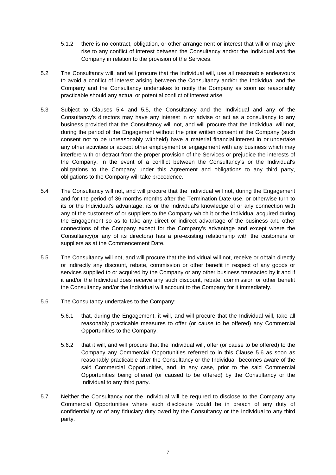- 5.1.2 there is no contract, obligation, or other arrangement or interest that will or may give rise to any conflict of interest between the Consultancy and/or the Individual and the Company in relation to the provision of the Services.
- 5.2 The Consultancy will, and will procure that the Individual will, use all reasonable endeavours to avoid a conflict of interest arising between the Consultancy and/or the Individual and the Company and the Consultancy undertakes to notify the Company as soon as reasonably practicable should any actual or potential conflict of interest arise.
- 5.3 Subject to Clauses [5.4](#page-9-0) and [5.5,](#page-9-1) the Consultancy and the Individual and any of the Consultancy's directors may have any interest in or advise or act as a consultancy to any business provided that the Consultancy will not, and will procure that the Individual will not, during the period of the Engagement without the prior written consent of the Company (such consent not to be unreasonably withheld) have a material financial interest in or undertake any other activities or accept other employment or engagement with any business which may interfere with or detract from the proper provision of the Services or prejudice the interests of the Company. In the event of a conflict between the Consultancy's or the Individual's obligations to the Company under this Agreement and obligations to any third party, obligations to the Company will take precedence.
- 5.4 The Consultancy will not, and will procure that the Individual will not, during the Engagement and for the period of 36 months months after the Termination Date use, or otherwise turn to its or the Individual's advantage, its or the Individual's knowledge of or any connection with any of the customers of or suppliers to the Company which it or the Individual acquired during the Engagement so as to take any direct or indirect advantage of the business and other connections of the Company except for the Company's advantage and except where the Consultancy(or any of its directors) has a pre-existing relationship with the customers or suppliers as at the Commencement Date.
- <span id="page-9-0"></span>5.5 The Consultancy will not, and will procure that the Individual will not, receive or obtain directly or indirectly any discount, rebate, commission or other benefit in respect of any goods or services supplied to or acquired by the Company or any other business transacted by it and if it and/or the Individual does receive any such discount, rebate, commission or other benefit the Consultancy and/or the Individual will account to the Company for it immediately.
- <span id="page-9-2"></span><span id="page-9-1"></span>5.6 The Consultancy undertakes to the Company:
	- 5.6.1 that, during the Engagement, it will, and will procure that the Individual will, take all reasonably practicable measures to offer (or cause to be offered) any Commercial Opportunities to the Company.
	- 5.6.2 that it will, and will procure that the Individual will, offer (or cause to be offered) to the Company any Commercial Opportunities referred to in this Clause [5.6](#page-9-2) as soon as reasonably practicable after the Consultancy or the Individual becomes aware of the said Commercial Opportunities, and, in any case, prior to the said Commercial Opportunities being offered (or caused to be offered) by the Consultancy or the Individual to any third party.
- 5.7 Neither the Consultancy nor the Individual will be required to disclose to the Company any Commercial Opportunities where such disclosure would be in breach of any duty of confidentiality or of any fiduciary duty owed by the Consultancy or the Individual to any third party.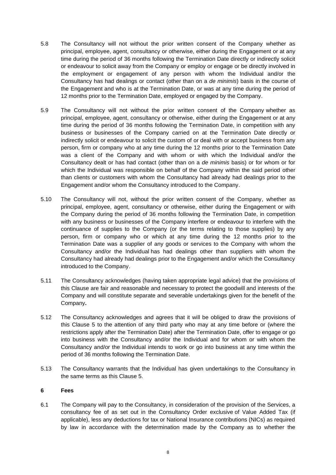- 5.8 The Consultancy will not without the prior written consent of the Company whether as principal, employee, agent, consultancy or otherwise, either during the Engagement or at any time during the period of 36 months following the Termination Date directly or indirectly solicit or endeavour to solicit away from the Company or employ or engage or be directly involved in the employment or engagement of any person with whom the Individual and/or the Consultancy has had dealings or contact (other than on a *de minimis*) basis in the course of the Engagement and who is at the Termination Date, or was at any time during the period of 12 months prior to the Termination Date, employed or engaged by the Company.
- 5.9 The Consultancy will not without the prior written consent of the Company whether as principal, employee, agent, consultancy or otherwise, either during the Engagement or at any time during the period of 36 months following the Termination Date, in competition with any business or businesses of the Company carried on at the Termination Date directly or indirectly solicit or endeavour to solicit the custom of or deal with or accept business from any person, firm or company who at any time during the 12 months prior to the Termination Date was a client of the Company and with whom or with which the Individual and/or the Consultancy dealt or has had contact (other than on a *de minimis* basis) or for whom or for which the Individual was responsible on behalf of the Company within the said period other than clients or customers with whom the Consultancy had already had dealings prior to the Engagement and/or whom the Consultancy introduced to the Company.
- 5.10 The Consultancy will not, without the prior written consent of the Company, whether as principal, employee, agent, consultancy or otherwise, either during the Engagement or with the Company during the period of 36 months following the Termination Date, in competition with any business or businesses of the Company interfere or endeavour to interfere with the continuance of supplies to the Company (or the terms relating to those supplies) by any person, firm or company who or which at any time during the 12 months prior to the Termination Date was a supplier of any goods or services to the Company with whom the Consultancy and/or the Individual has had dealings other than suppliers with whom the Consultancy had already had dealings prior to the Engagement and/or which the Consultancy introduced to the Company.
- 5.11 The Consultancy acknowledges (having taken appropriate legal advice) that the provisions of this Clause are fair and reasonable and necessary to protect the goodwill and interests of the Company and will constitute separate and severable undertakings given for the benefit of the Company**.**
- 5.12 The Consultancy acknowledges and agrees that it will be obliged to draw the provisions of this Clause [5](#page-8-2) to the attention of any third party who may at any time before or (where the restrictions apply after the Termination Date) after the Termination Date, offer to engage or go into business with the Consultancy and/or the Individual and for whom or with whom the Consultancy and/or the Individual intends to work or go into business at any time within the period of 36 months following the Termination Date.
- <span id="page-10-1"></span>5.13 The Consultancy warrants that the Individual has given undertakings to the Consultancy in the same terms as this Clause [5.](#page-8-2)

#### <span id="page-10-0"></span>**6 Fees**

6.1 The Company will pay to the Consultancy, in consideration of the provision of the Services, a consultancy fee of as set out in the Consultancy Order exclusive of Value Added Tax (if applicable), less any deductions for tax or National Insurance contributions (NICs) as required by law in accordance with the determination made by the Company as to whether the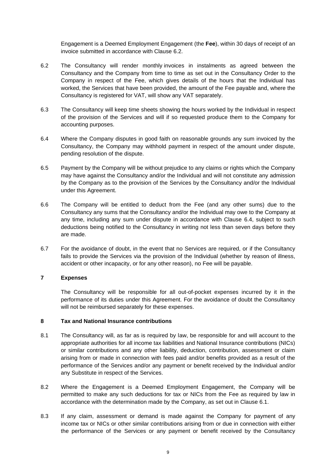<span id="page-11-3"></span><span id="page-11-2"></span>Engagement is a Deemed Employment Engagement (the **Fee**), within 30 days of receipt of an invoice submitted in accordance with Clause [6.2.](#page-11-3)

- 6.2 The Consultancy will render monthly invoices in instalments as agreed between the Consultancy and the Company from time to time as set out in the Consultancy Order to the Company in respect of the Fee, which gives details of the hours that the Individual has worked, the Services that have been provided, the amount of the Fee payable and, where the Consultancy is registered for VAT, will show any VAT separately.
- 6.3 The Consultancy will keep time sheets showing the hours worked by the Individual in respect of the provision of the Services and will if so requested produce them to the Company for accounting purposes.
- 6.4 Where the Company disputes in good faith on reasonable grounds any sum invoiced by the Consultancy, the Company may withhold payment in respect of the amount under dispute, pending resolution of the dispute.
- <span id="page-11-4"></span>6.5 Payment by the Company will be without prejudice to any claims or rights which the Company may have against the Consultancy and/or the Individual and will not constitute any admission by the Company as to the provision of the Services by the Consultancy and/or the Individual under this Agreement.
- 6.6 The Company will be entitled to deduct from the Fee (and any other sums) due to the Consultancy any sums that the Consultancy and/or the Individual may owe to the Company at any time, including any sum under dispute in accordance with Clause [6.4,](#page-11-4) subject to such deductions being notified to the Consultancy in writing not less than seven days before they are made.
- 6.7 For the avoidance of doubt, in the event that no Services are required, or if the Consultancy fails to provide the Services via the provision of the Individual (whether by reason of illness, accident or other incapacity, or for any other reason), no Fee will be payable.

### <span id="page-11-0"></span>**7 Expenses**

The Consultancy will be responsible for all out-of-pocket expenses incurred by it in the performance of its duties under this Agreement. For the avoidance of doubt the Consultancy will not be reimbursed separately for these expenses.

#### <span id="page-11-1"></span>**8 Tax and National Insurance contributions**

- 8.1 The Consultancy will, as far as is required by law, be responsible for and will account to the appropriate authorities for all income tax liabilities and National Insurance contributions (NICs) or similar contributions and any other liability, deduction, contribution, assessment or claim arising from or made in connection with fees paid and/or benefits provided as a result of the performance of the Services and/or any payment or benefit received by the Individual and/or any Substitute in respect of the Services.
- 8.2 Where the Engagement is a Deemed Employment Engagement, the Company will be permitted to make any such deductions for tax or NICs from the Fee as required by law in accordance with the determination made by the Company, as set out in Clause [6.1.](#page-11-2)
- 8.3 If any claim, assessment or demand is made against the Company for payment of any income tax or NICs or other similar contributions arising from or due in connection with either the performance of the Services or any payment or benefit received by the Consultancy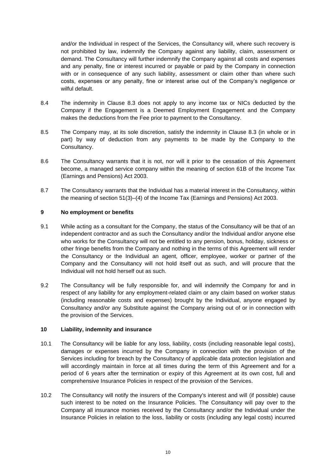and/or the Individual in respect of the Services, the Consultancy will, where such recovery is not prohibited by law, indemnify the Company against any liability, claim, assessment or demand. The Consultancy will further indemnify the Company against all costs and expenses and any penalty, fine or interest incurred or payable or paid by the Company in connection with or in consequence of any such liability, assessment or claim other than where such costs, expenses or any penalty, fine or interest arise out of the Company's negligence or wilful default.

- <span id="page-12-2"></span>8.4 The indemnity in Clause [8.3](#page-12-2) does not apply to any income tax or NICs deducted by the Company if the Engagement is a Deemed Employment Engagement and the Company makes the deductions from the Fee prior to payment to the Consultancy.
- 8.5 The Company may, at its sole discretion, satisfy the indemnity in Clause [8.3](#page-12-2) (in whole or in part) by way of deduction from any payments to be made by the Company to the Consultancy.
- <span id="page-12-3"></span>8.6 The Consultancy warrants that it is not, nor will it prior to the cessation of this Agreement become, a managed service company within the meaning of section 61B of the Income Tax (Earnings and Pensions) Act 2003.
- 8.7 The Consultancy warrants that the Individual has a material interest in the Consultancy, within the meaning of section 51(3)–(4) of the Income Tax (Earnings and Pensions) Act 2003.

#### <span id="page-12-0"></span>**9 No employment or benefits**

- 9.1 While acting as a consultant for the Company, the status of the Consultancy will be that of an independent contractor and as such the Consultancy and/or the Individual and/or anyone else who works for the Consultancy will not be entitled to any pension, bonus, holiday, sickness or other fringe benefits from the Company and nothing in the terms of this Agreement will render the Consultancy or the Individual an agent, officer, employee, worker or partner of the Company and the Consultancy will not hold itself out as such, and will procure that the Individual will not hold herself out as such.
- 9.2 The Consultancy will be fully responsible for, and will indemnify the Company for and in respect of any liability for any employment-related claim or any claim based on worker status (including reasonable costs and expenses) brought by the Individual, anyone engaged by Consultancy and/or any Substitute against the Company arising out of or in connection with the provision of the Services.

#### <span id="page-12-4"></span><span id="page-12-1"></span>**10 Liability, indemnity and insurance**

- 10.1 The Consultancy will be liable for any loss, liability, costs (including reasonable legal costs), damages or expenses incurred by the Company in connection with the provision of the Services including for breach by the Consultancy of applicable data protection legislation and will accordingly maintain in force at all times during the term of this Agreement and for a period of 6 years after the termination or expiry of this Agreement at its own cost, full and comprehensive Insurance Policies in respect of the provision of the Services.
- <span id="page-12-5"></span>10.2 The Consultancy will notify the insurers of the Company's interest and will (if possible) cause such interest to be noted on the Insurance Policies. The Consultancy will pay over to the Company all insurance monies received by the Consultancy and/or the Individual under the Insurance Policies in relation to the loss, liability or costs (including any legal costs) incurred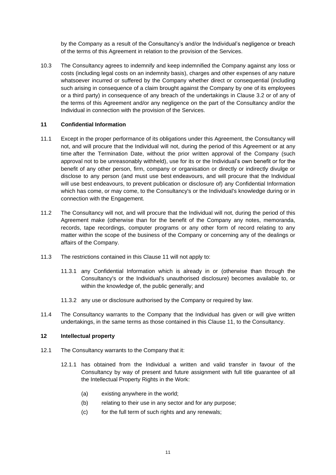by the Company as a result of the Consultancy's and/or the Individual's negligence or breach of the terms of this Agreement in relation to the provision of the Services.

10.3 The Consultancy agrees to indemnify and keep indemnified the Company against any loss or costs (including legal costs on an indemnity basis), charges and other expenses of any nature whatsoever incurred or suffered by the Company whether direct or consequential (including such arising in consequence of a claim brought against the Company by one of its employees or a third party) in consequence of any breach of the undertakings in Clause [3.2](#page-7-0) or of any of the terms of this Agreement and/or any negligence on the part of the Consultancy and/or the Individual in connection with the provision of the Services.

#### <span id="page-13-2"></span><span id="page-13-0"></span>**11 Confidential Information**

- 11.1 Except in the proper performance of its obligations under this Agreement, the Consultancy will not, and will procure that the Individual will not, during the period of this Agreement or at any time after the Termination Date, without the prior written approval of the Company (such approval not to be unreasonably withheld), use for its or the Individual's own benefit or for the benefit of any other person, firm, company or organisation or directly or indirectly divulge or disclose to any person (and must use best endeavours, and will procure that the Individual will use best endeavours, to prevent publication or disclosure of) any Confidential Information which has come, or may come, to the Consultancy's or the Individual's knowledge during or in connection with the Engagement.
- 11.2 The Consultancy will not, and will procure that the Individual will not, during the period of this Agreement make (otherwise than for the benefit of the Company any notes, memoranda, records, tape recordings, computer programs or any other form of record relating to any matter within the scope of the business of the Company or concerning any of the dealings or affairs of the Company.
- 11.3 The restrictions contained in this Clause [11](#page-13-2) will not apply to:
	- 11.3.1 any Confidential Information which is already in or (otherwise than through the Consultancy's or the Individual's unauthorised disclosure) becomes available to, or within the knowledge of, the public generally; and
	- 11.3.2 any use or disclosure authorised by the Company or required by law.
- 11.4 The Consultancy warrants to the Company that the Individual has given or will give written undertakings, in the same terms as those contained in this Clause [11,](#page-13-2) to the Consultancy.

#### <span id="page-13-1"></span>**12 Intellectual property**

- 12.1 The Consultancy warrants to the Company that it:
	- 12.1.1 has obtained from the Individual a written and valid transfer in favour of the Consultancy by way of present and future assignment with full title guarantee of all the Intellectual Property Rights in the Work:
		- (a) existing anywhere in the world;
		- (b) relating to their use in any sector and for any purpose;
		- (c) for the full term of such rights and any renewals;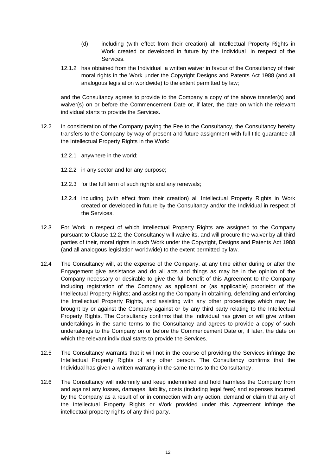- (d) including (with effect from their creation) all Intellectual Property Rights in Work created or developed in future by the Individual in respect of the Services.
- 12.1.2 has obtained from the Individual a written waiver in favour of the Consultancy of their moral rights in the Work under the Copyright Designs and Patents Act 1988 (and all analogous legislation worldwide) to the extent permitted by law;

<span id="page-14-0"></span>and the Consultancy agrees to provide to the Company a copy of the above transfer(s) and waiver(s) on or before the Commencement Date or, if later, the date on which the relevant individual starts to provide the Services.

- 12.2 In consideration of the Company paying the Fee to the Consultancy, the Consultancy hereby transfers to the Company by way of present and future assignment with full title guarantee all the Intellectual Property Rights in the Work:
	- 12.2.1 anywhere in the world;
	- 12.2.2 in any sector and for any purpose;
	- 12.2.3 for the full term of such rights and any renewals;
	- 12.2.4 including (with effect from their creation) all Intellectual Property Rights in Work created or developed in future by the Consultancy and/or the Individual in respect of the Services.
- 12.3 For Work in respect of which Intellectual Property Rights are assigned to the Company pursuant to Clause [12.2,](#page-14-0) the Consultancy will waive its, and will procure the waiver by all third parties of their, moral rights in such Work under the Copyright, Designs and Patents Act 1988 (and all analogous legislation worldwide) to the extent permitted by law.
- 12.4 The Consultancy will, at the expense of the Company, at any time either during or after the Engagement give assistance and do all acts and things as may be in the opinion of the Company necessary or desirable to give the full benefit of this Agreement to the Company including registration of the Company as applicant or (as applicable) proprietor of the Intellectual Property Rights; and assisting the Company in obtaining, defending and enforcing the Intellectual Property Rights, and assisting with any other proceedings which may be brought by or against the Company against or by any third party relating to the Intellectual Property Rights. The Consultancy confirms that the Individual has given or will give written undertakings in the same terms to the Consultancy and agrees to provide a copy of such undertakings to the Company on or before the Commencement Date or, if later, the date on which the relevant individual starts to provide the Services.
- 12.5 The Consultancy warrants that it will not in the course of providing the Services infringe the Intellectual Property Rights of any other person. The Consultancy confirms that the Individual has given a written warranty in the same terms to the Consultancy.
- 12.6 The Consultancy will indemnify and keep indemnified and hold harmless the Company from and against any losses, damages, liability, costs (including legal fees) and expenses incurred by the Company as a result of or in connection with any action, demand or claim that any of the Intellectual Property Rights or Work provided under this Agreement infringe the intellectual property rights of any third party.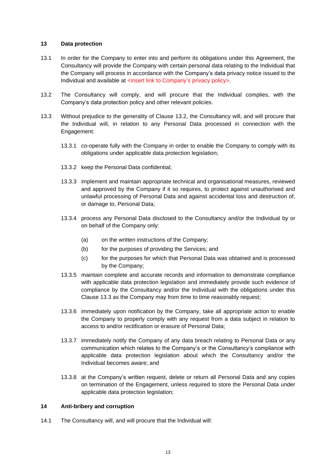#### <span id="page-15-0"></span>**13 Data protection**

- 13.1 In order for the Company to enter into and perform its obligations under this Agreement, the Consultancy will provide the Company with certain personal data relating to the Individual that the Company will process in accordance with the Company's data privacy notice issued to the Individual and available at <insert link to Company's privacy policy>.
- <span id="page-15-2"></span>13.2 The Consultancy will comply, and will procure that the Individual complies, with the Company's data protection policy and other relevant policies.
- <span id="page-15-3"></span>13.3 Without prejudice to the generality of Clause [13.2,](#page-15-2) the Consultancy will, and will procure that the Individual will, in relation to any Personal Data processed in connection with the Engagement:
	- 13.3.1 co-operate fully with the Company in order to enable the Company to comply with its obligations under applicable data protection legislation;
	- 13.3.2 keep the Personal Data confidential;
	- 13.3.3 implement and maintain appropriate technical and organisational measures, reviewed and approved by the Company if it so requires, to protect against unauthorised and unlawful processing of Personal Data and against accidental loss and destruction of, or damage to, Personal Data;
	- 13.3.4 process any Personal Data disclosed to the Consultancy and/or the Individual by or on behalf of the Company only:
		- (a) on the written instructions of the Company;
		- (b) for the purposes of providing the Services; and
		- (c) for the purposes for which that Personal Data was obtained and is processed by the Company;
	- 13.3.5 maintain complete and accurate records and information to demonstrate compliance with applicable data protection legislation and immediately provide such evidence of compliance by the Consultancy and/or the Individual with the obligations under this Clause [13.3](#page-15-3) as the Company may from time to time reasonably request;
	- 13.3.6 immediately upon notification by the Company, take all appropriate action to enable the Company to properly comply with any request from a data subject in relation to access to and/or rectification or erasure of Personal Data;
	- 13.3.7 immediately notify the Company of any data breach relating to Personal Data or any communication which relates to the Company's or the Consultancy's compliance with applicable data protection legislation about which the Consultancy and/or the Individual becomes aware; and
	- 13.3.8 at the Company's written request, delete or return all Personal Data and any copies on termination of the Engagement, unless required to store the Personal Data under applicable data protection legislation;

#### <span id="page-15-5"></span><span id="page-15-1"></span>**14 Anti-bribery and corruption**

<span id="page-15-4"></span>14.1 The Consultancy will, and will procure that the Individual will: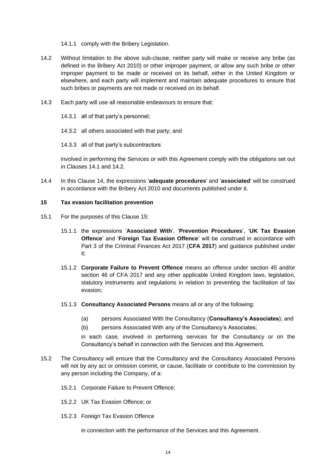<span id="page-16-1"></span>14.1.1 comply with the Bribery Legislation.

- 14.2 Without limitation to the above sub-clause, neither party will make or receive any bribe (as defined in the Bribery Act 2010) or other improper payment, or allow any such bribe or other improper payment to be made or received on its behalf, either in the United Kingdom or elsewhere, and each party will implement and maintain adequate procedures to ensure that such bribes or payments are not made or received on its behalf.
- 14.3 Each party will use all reasonable endeavours to ensure that:
	- 14.3.1 all of that party's personnel;
	- 14.3.2 all others associated with that party; and
	- 14.3.3 all of that party's subcontractors

<span id="page-16-2"></span>involved in performing the Services or with this Agreement comply with the obligations set out in Clauses [14.1](#page-15-4) and [14.2.](#page-16-1)

14.4 In this Clause [14,](#page-15-5) the expressions '**adequate procedures**' and '**associated**' will be construed in accordance with the Bribery Act 2010 and documents published under it.

#### <span id="page-16-0"></span>**15 Tax evasion facilitation prevention**

- 15.1 For the purposes of this Clause [15:](#page-16-2)
	- 15.1.1 the expressions '**Associated With**', '**Prevention Procedures**', '**UK Tax Evasion Offence**' and '**Foreign Tax Evasion Offence**' will be construed in accordance with Part 3 of the Criminal Finances Act 2017 (**CFA 2017**) and guidance published under it;
	- 15.1.2 **Corporate Failure to Prevent Offence** means an offence under section 45 and/or section 46 of CFA 2017 and any other applicable United Kingdom laws, legislation, statutory instruments and regulations in relation to preventing the facilitation of tax evasion;
	- 15.1.3 **Consultancy Associated Persons** means all or any of the following:
		- (a) persons Associated With the Consultancy (**Consultancy's Associates**); and
		- (b) persons Associated With any of the Consultancy's Associates;

<span id="page-16-3"></span>in each case, involved in performing services for the Consultancy or on the Consultancy's behalf in connection with the Services and this Agreement.

- 15.2 The Consultancy will ensure that the Consultancy and the Consultancy Associated Persons will not by any act or omission commit, or cause, facilitate or contribute to the commission by any person including the Company, of a:
	- 15.2.1 Corporate Failure to Prevent Offence;
	- 15.2.2 UK Tax Evasion Offence; or
	- 15.2.3 Foreign Tax Evasion Offence

in connection with the performance of the Services and this Agreement.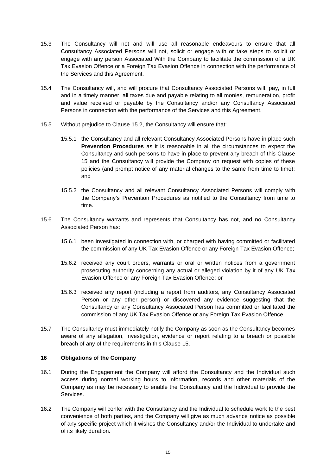- 15.3 The Consultancy will not and will use all reasonable endeavours to ensure that all Consultancy Associated Persons will not, solicit or engage with or take steps to solicit or engage with any person Associated With the Company to facilitate the commission of a UK Tax Evasion Offence or a Foreign Tax Evasion Offence in connection with the performance of the Services and this Agreement.
- 15.4 The Consultancy will, and will procure that Consultancy Associated Persons will, pay, in full and in a timely manner, all taxes due and payable relating to all monies, remuneration, profit and value received or payable by the Consultancy and/or any Consultancy Associated Persons in connection with the performance of the Services and this Agreement.
- 15.5 Without prejudice to Clause [15.2,](#page-16-3) the Consultancy will ensure that:
	- 15.5.1 the Consultancy and all relevant Consultancy Associated Persons have in place such **Prevention Procedures** as it is reasonable in all the circumstances to expect the Consultancy and such persons to have in place to prevent any breach of this Clause [15](#page-16-2) and the Consultancy will provide the Company on request with copies of these policies (and prompt notice of any material changes to the same from time to time); and
	- 15.5.2 the Consultancy and all relevant Consultancy Associated Persons will comply with the Company's Prevention Procedures as notified to the Consultancy from time to time.
- 15.6 The Consultancy warrants and represents that Consultancy has not, and no Consultancy Associated Person has:
	- 15.6.1 been investigated in connection with, or charged with having committed or facilitated the commission of any UK Tax Evasion Offence or any Foreign Tax Evasion Offence;
	- 15.6.2 received any court orders, warrants or oral or written notices from a government prosecuting authority concerning any actual or alleged violation by it of any UK Tax Evasion Offence or any Foreign Tax Evasion Offence; or
	- 15.6.3 received any report (including a report from auditors, any Consultancy Associated Person or any other person) or discovered any evidence suggesting that the Consultancy or any Consultancy Associated Person has committed or facilitated the commission of any UK Tax Evasion Offence or any Foreign Tax Evasion Offence.
- 15.7 The Consultancy must immediately notify the Company as soon as the Consultancy becomes aware of any allegation, investigation, evidence or report relating to a breach or possible breach of any of the requirements in this Clause [15.](#page-16-2)

#### <span id="page-17-0"></span>**16 Obligations of the Company**

- 16.1 During the Engagement the Company will afford the Consultancy and the Individual such access during normal working hours to information, records and other materials of the Company as may be necessary to enable the Consultancy and the Individual to provide the Services.
- 16.2 The Company will confer with the Consultancy and the Individual to schedule work to the best convenience of both parties, and the Company will give as much advance notice as possible of any specific project which it wishes the Consultancy and/or the Individual to undertake and of its likely duration.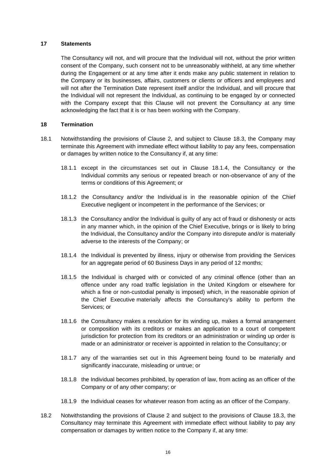#### <span id="page-18-0"></span>**17 Statements**

<span id="page-18-3"></span>The Consultancy will not, and will procure that the Individual will not, without the prior written consent of the Company, such consent not to be unreasonably withheld, at any time whether during the Engagement or at any time after it ends make any public statement in relation to the Company or its businesses, affairs, customers or clients or officers and employees and will not after the Termination Date represent itself and/or the Individual, and will procure that the Individual will not represent the Individual, as continuing to be engaged by or connected with the Company except that this Clause will not prevent the Consultancy at any time acknowledging the fact that it is or has been working with the Company.

#### <span id="page-18-1"></span>**18 Termination**

- <span id="page-18-2"></span>18.1 Notwithstanding the provisions of Clause [2,](#page-6-3) and subject to Clause [18.3,](#page-19-2) the Company may terminate this Agreement with immediate effect without liability to pay any fees, compensation or damages by written notice to the Consultancy if, at any time:
	- 18.1.1 except in the circumstances set out in Clause [18.1.4,](#page-18-2) the Consultancy or the Individual commits any serious or repeated breach or non-observance of any of the terms or conditions of this Agreement; or
	- 18.1.2 the Consultancy and/or the Individual is in the reasonable opinion of the Chief Executive negligent or incompetent in the performance of the Services; or
	- 18.1.3 the Consultancy and/or the Individual is guilty of any act of fraud or dishonesty or acts in any manner which, in the opinion of the Chief Executive, brings or is likely to bring the Individual, the Consultancy and/or the Company into disrepute and/or is materially adverse to the interests of the Company; or
	- 18.1.4 the Individual is prevented by illness, injury or otherwise from providing the Services for an aggregate period of 60 Business Days in any period of 12 months;
	- 18.1.5 the Individual is charged with or convicted of any criminal offence (other than an offence under any road traffic legislation in the United Kingdom or elsewhere for which a fine or non-custodial penalty is imposed) which, in the reasonable opinion of the Chief Executive materially affects the Consultancy's ability to perform the Services; or
	- 18.1.6 the Consultancy makes a resolution for its winding up, makes a formal arrangement or composition with its creditors or makes an application to a court of competent jurisdiction for protection from its creditors or an administration or winding up order is made or an administrator or receiver is appointed in relation to the Consultancy; or
	- 18.1.7 any of the warranties set out in this Agreement being found to be materially and significantly inaccurate, misleading or untrue; or
	- 18.1.8 the Individual becomes prohibited, by operation of law, from acting as an officer of the Company or of any other company; or
	- 18.1.9 the Individual ceases for whatever reason from acting as an officer of the Company.
- 18.2 Notwithstanding the provisions of Clause [2](#page-6-3) and subject to the provisions of Clause [18.3,](#page-19-2) the Consultancy may terminate this Agreement with immediate effect without liability to pay any compensation or damages by written notice to the Company if, at any time: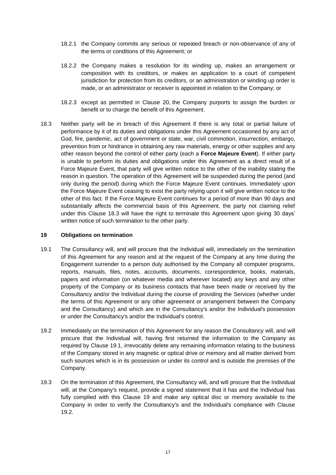- 18.2.1 the Company commits any serious or repeated breach or non-observance of any of the terms or conditions of this Agreement; or
- 18.2.2 the Company makes a resolution for its winding up, makes an arrangement or composition with its creditors, or makes an application to a court of competent jurisdiction for protection from its creditors, or an administration or winding up order is made, or an administrator or receiver is appointed in relation to the Company; or
- 18.2.3 except as permitted in Clause [20,](#page-21-3) the Company purports to assign the burden or benefit or to charge the benefit of this Agreement.
- 18.3 Neither party will be in breach of this Agreement if there is any total or partial failure of performance by it of its duties and obligations under this Agreement occasioned by any act of God, fire, pandemic, act of government or state, war, civil commotion, insurrection, embargo, prevention from or hindrance in obtaining any raw materials, energy or other supplies and any other reason beyond the control of either party (each a **Force Majeure Event**). If either party is unable to perform its duties and obligations under this Agreement as a direct result of a Force Majeure Event, that party will give written notice to the other of the inability stating the reason in question. The operation of this Agreement will be suspended during the period (and only during the period) during which the Force Majeure Event continues. Immediately upon the Force Majeure Event ceasing to exist the party relying upon it will give written notice to the other of this fact. If the Force Majeure Event continues for a period of more than 90 days and substantially affects the commercial basis of this Agreement, the party not claiming relief under this Clause [18.3](#page-19-2) will have the right to terminate this Agreement upon giving 30 days' written notice of such termination to the other party.

#### <span id="page-19-2"></span><span id="page-19-1"></span><span id="page-19-0"></span>**19 Obligations on termination**

- 19.1 The Consultancy will, and will procure that the Individual will, immediately on the termination of this Agreement for any reason and at the request of the Company at any time during the Engagement surrender to a person duly authorised by the Company all computer programs, reports, manuals, files, notes, accounts, documents, correspondence, books, materials, papers and information (on whatever media and wherever located) any keys and any other property of the Company or its business contacts that have been made or received by the Consultancy and/or the Individual during the course of providing the Services (whether under the terms of this Agreement or any other agreement or arrangement between the Company and the Consultancy) and which are in the Consultancy's and/or the Individual's possession or under the Consultancy's and/or the Individual's control.
- <span id="page-19-3"></span>19.2 Immediately on the termination of this Agreement for any reason the Consultancy will, and will procure that the Individual will, having first returned the information to the Company as required by Clause [19.1,](#page-19-3) irrevocably delete any remaining information relating to the business of the Company stored in any magnetic or optical drive or memory and all matter derived from such sources which is in its possession or under its control and is outside the premises of the Company.
- <span id="page-19-4"></span>19.3 On the termination of this Agreement, the Consultancy will, and will procure that the Individual will, at the Company's request, provide a signed statement that it has and the Individual has fully complied with this Clause [19](#page-19-1) and make any optical disc or memory available to the Company in order to verify the Consultancy's and the Individual's compliance with Clause [19.2.](#page-19-4)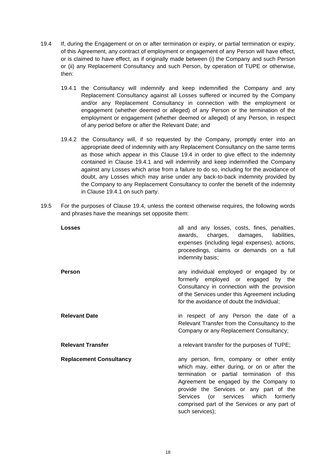- <span id="page-20-0"></span>19.4 If, during the Engagement or on or after termination or expiry, or partial termination or expiry, of this Agreement, any contract of employment or engagement of any Person will have effect, or is claimed to have effect, as if originally made between (i) the Company and such Person or (ii) any Replacement Consultancy and such Person, by operation of TUPE or otherwise, then:
	- 19.4.1 the Consultancy will indemnify and keep indemnified the Company and any Replacement Consultancy against all Losses suffered or incurred by the Company and/or any Replacement Consultancy in connection with the employment or engagement (whether deemed or alleged) of any Person or the termination of the employment or engagement (whether deemed or alleged) of any Person, in respect of any period before or after the Relevant Date; and
	- 19.4.2 the Consultancy will, if so requested by the Company, promptly enter into an appropriate deed of indemnity with any Replacement Consultancy on the same terms as those which appear in this Clause [19.4](#page-20-0) in order to give effect to the indemnity contained in Clause [19.4.1](#page-20-1) and will indemnify and keep indemnified the Company against any Losses which arise from a failure to do so, including for the avoidance of doubt, any Losses which may arise under any back-to-back indemnity provided by the Company to any Replacement Consultancy to confer the benefit of the indemnity in Clause [19.4.1](#page-20-1) on such party.
- 19.5 For the purposes of Clause [19.4,](#page-20-0) unless the context otherwise requires, the following words and phrases have the meanings set opposite them:

<span id="page-20-1"></span>

| <b>Losses</b>                  | all and any losses, costs, fines, penalties,<br>charges, damages,<br>liabilities.<br>awards,<br>expenses (including legal expenses), actions,<br>proceedings, claims or demands on a full<br>indemnity basis;                                                                                                                                  |
|--------------------------------|------------------------------------------------------------------------------------------------------------------------------------------------------------------------------------------------------------------------------------------------------------------------------------------------------------------------------------------------|
| <b>Person</b>                  | any individual employed or engaged by or<br>formerly employed or engaged<br>by the<br>Consultancy in connection with the provision<br>of the Services under this Agreement including<br>for the avoidance of doubt the Individual;                                                                                                             |
| <b>Relevant Date</b>           | in respect of any Person the date of a<br>Relevant Transfer from the Consultancy to the<br>Company or any Replacement Consultancy;                                                                                                                                                                                                             |
| <b>Relevant Transfer</b>       | a relevant transfer for the purposes of TUPE;                                                                                                                                                                                                                                                                                                  |
| <b>Replacement Consultancy</b> | any person, firm, company or other entity<br>which may, either during, or on or after the<br>termination or partial termination of this<br>Agreement be engaged by the Company to<br>provide the Services or any part of the<br>(or services which<br>Services<br>formerly<br>comprised part of the Services or any part of<br>such services); |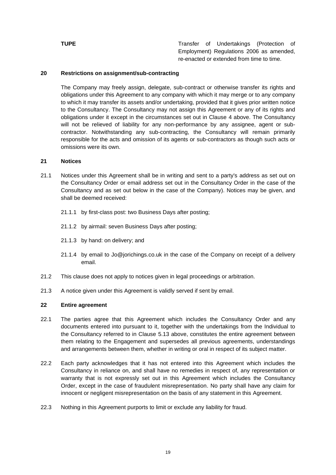**TUPE** Transfer of Undertakings (Protection of Employment) Regulations 2006 as amended, re-enacted or extended from time to time.

#### <span id="page-21-0"></span>**20 Restrictions on assignment/sub-contracting**

<span id="page-21-3"></span>The Company may freely assign, delegate, sub-contract or otherwise transfer its rights and obligations under this Agreement to any company with which it may merge or to any company to which it may transfer its assets and/or undertaking, provided that it gives prior written notice to the Consultancy. The Consultancy may not assign this Agreement or any of its rights and obligations under it except in the circumstances set out in Clause [4](#page-8-3) above. The Consultancy will not be relieved of liability for any non-performance by any assignee, agent or subcontractor. Notwithstanding any sub-contracting, the Consultancy will remain primarily responsible for the acts and omission of its agents or sub-contractors as though such acts or omissions were its own.

#### <span id="page-21-1"></span>**21 Notices**

- 21.1 Notices under this Agreement shall be in writing and sent to a party's address as set out on the Consultancy Order or email address set out in the Consultancy Order in the case of the Consultancy and as set out below in the case of the Company). Notices may be given, and shall be deemed received:
	- 21.1.1 by first-class post: two Business Days after posting;
	- 21.1.2 by airmail: seven Business Days after posting;
	- 21.1.3 by hand: on delivery; and
	- 21.1.4 by email to Jo@jorichings.co.uk in the case of the Company on receipt of a delivery email.
- 21.2 This clause does not apply to notices given in legal proceedings or arbitration.
- 21.3 A notice given under this Agreement is validly served if sent by email.

#### <span id="page-21-2"></span>**22 Entire agreement**

- 22.1 The parties agree that this Agreement which includes the Consultancy Order and any documents entered into pursuant to it, together with the undertakings from the Individual to the Consultancy referred to in Clause [5.13](#page-10-1) above, constitutes the entire agreement between them relating to the Engagement and supersedes all previous agreements, understandings and arrangements between them, whether in writing or oral in respect of its subject matter.
- 22.2 Each party acknowledges that it has not entered into this Agreement which includes the Consultancy in reliance on, and shall have no remedies in respect of, any representation or warranty that is not expressly set out in this Agreement which includes the Consultancy Order, except in the case of fraudulent misrepresentation. No party shall have any claim for innocent or negligent misrepresentation on the basis of any statement in this Agreement.
- 22.3 Nothing in this Agreement purports to limit or exclude any liability for fraud.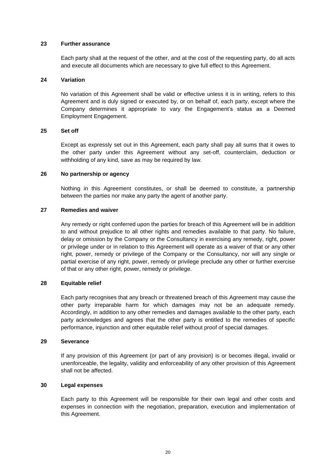#### <span id="page-22-0"></span>**23 Further assurance**

Each party shall at the request of the other, and at the cost of the requesting party, do all acts and execute all documents which are necessary to give full effect to this Agreement.

#### <span id="page-22-1"></span>**24 Variation**

No variation of this Agreement shall be valid or effective unless it is in writing, refers to this Agreement and is duly signed or executed by, or on behalf of, each party, except where the Company determines it appropriate to vary the Engagement's status as a Deemed Employment Engagement.

### <span id="page-22-2"></span>**25 Set off**

Except as expressly set out in this Agreement, each party shall pay all sums that it owes to the other party under this Agreement without any set-off, counterclaim, deduction or withholding of any kind, save as may be required by law.

#### <span id="page-22-3"></span>**26 No partnership or agency**

Nothing in this Agreement constitutes, or shall be deemed to constitute, a partnership between the parties nor make any party the agent of another party.

#### <span id="page-22-4"></span>**27 Remedies and waiver**

Any remedy or right conferred upon the parties for breach of this Agreement will be in addition to and without prejudice to all other rights and remedies available to that party. No failure, delay or omission by the Company or the Consultancy in exercising any remedy, right, power or privilege under or in relation to this Agreement will operate as a waiver of that or any other right, power, remedy or privilege of the Company or the Consultancy, nor will any single or partial exercise of any right, power, remedy or privilege preclude any other or further exercise of that or any other right, power, remedy or privilege.

#### <span id="page-22-5"></span>**28 Equitable relief**

Each party recognises that any breach or threatened breach of this Agreement may cause the other party irreparable harm for which damages may not be an adequate remedy. Accordingly, in addition to any other remedies and damages available to the other party, each party acknowledges and agrees that the other party is entitled to the remedies of specific performance, injunction and other equitable relief without proof of special damages.

#### <span id="page-22-6"></span>**29 Severance**

If any provision of this Agreement (or part of any provision) is or becomes illegal, invalid or unenforceable, the legality, validity and enforceability of any other provision of this Agreement shall not be affected.

#### <span id="page-22-7"></span>**30 Legal expenses**

Each party to this Agreement will be responsible for their own legal and other costs and expenses in connection with the negotiation, preparation, execution and implementation of this Agreement.